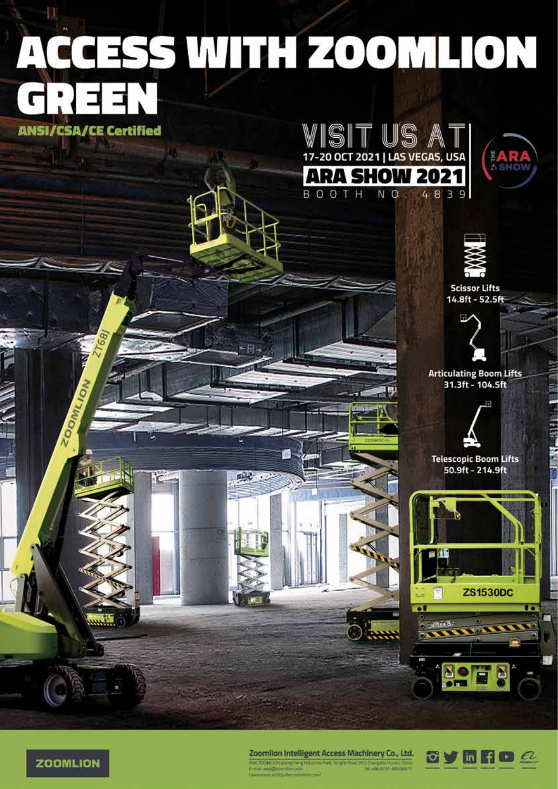## ACCESS WITH ZOOMLION

**ANSI/CSA/CE Certified** 

**ZOOMILION** 





**A SHOW** 

**Scissor Lifts** 14.8ft - 52.5ft



**Articulating Boom Lifts** 31.3ft - 104.5ft



**Telescopic Boom Lifts** 50.9ft - 214.9ft





Zoomlion Intelligent Access Machinery Co., Ltd. ter 2008. ON Wang being taken a Firk Single Road<br>E-mail and December Lon W.T. Owner Harts Ch. **Street of Street Services** 

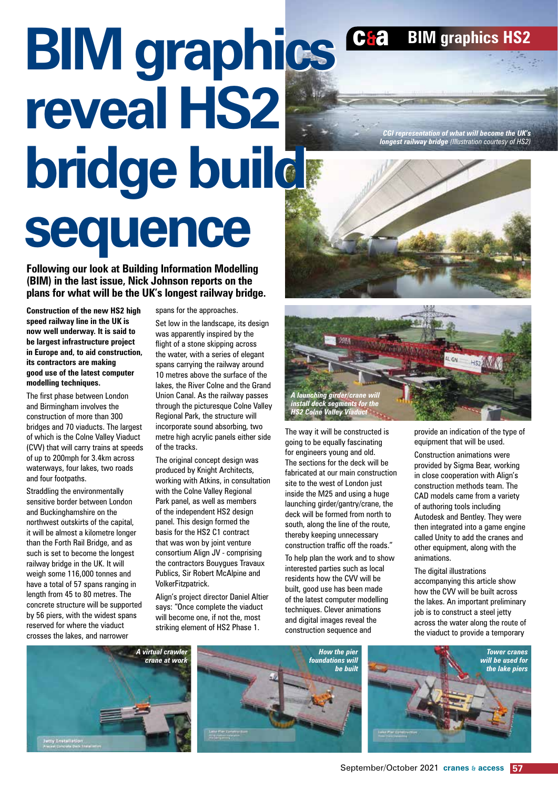## **BIM graphics BIM graphics reveal HS2 reveal HS2 bridge build bridge build sequence sequence**

**Following our look at Building Information Modelling (BIM) in the last issue, Nick Johnson reports on the plans for what will be the UK's longest railway bridge.**

**Construction of the new HS2 high speed railway line in the UK is now well underway. It is said to be largest infrastructure project in Europe and, to aid construction, its contractors are making good use of the latest computer modelling techniques.**

The first phase between London and Birmingham involves the construction of more than 300 bridges and 70 viaducts. The largest of which is the Colne Valley Viaduct (CVV) that will carry trains at speeds of up to 200mph for 3.4km across waterways, four lakes, two roads and four footpaths.

Straddling the environmentally sensitive border between London and Buckinghamshire on the northwest outskirts of the capital, it will be almost a kilometre longer than the Forth Rail Bridge, and as such is set to become the longest railway bridge in the UK. It will weigh some 116,000 tonnes and have a total of 57 spans ranging in length from 45 to 80 metres. The concrete structure will be supported by 56 piers, with the widest spans reserved for where the viaduct crosses the lakes, and narrower

spans for the approaches.

Set low in the landscape, its design was apparently inspired by the flight of a stone skipping across the water, with a series of elegant spans carrying the railway around 10 metres above the surface of the lakes, the River Colne and the Grand Union Canal. As the railway passes through the picturesque Colne Valley Regional Park, the structure will incorporate sound absorbing, two metre high acrylic panels either side of the tracks.

The original concept design was produced by Knight Architects, working with Atkins, in consultation with the Colne Valley Regional Park panel, as well as members of the independent HS2 design panel. This design formed the basis for the HS2 C1 contract that was won by joint venture consortium Align JV - comprising the contractors Bouygues Travaux Publics, Sir Robert McAlpine and VolkerFitzpatrick.

Align's project director Daniel Altier says: "Once complete the viaduct will become one, if not the, most striking element of HS2 Phase 1.

## *<i>A a ing girder/cl*  $t$ *all deck segme* **S2 Colne Valley Via**

The way it will be constructed is going to be equally fascinating for engineers young and old. The sections for the deck will be fabricated at our main construction site to the west of London just inside the M25 and using a huge launching girder/gantry/crane, the deck will be formed from north to south, along the line of the route, thereby keeping unnecessary construction traffic off the roads."

To help plan the work and to show interested parties such as local residents how the CVV will be built, good use has been made of the latest computer modelling techniques. Clever animations and digital images reveal the construction sequence and

provide an indication of the type of equipment that will be used.

Construction animations were provided by Sigma Bear, working in close cooperation with Align's construction methods team. The CAD models came from a variety of authoring tools including Autodesk and Bentley. They were then integrated into a game engine called Unity to add the cranes and other equipment, along with the animations.

The digital illustrations accompanying this article show how the CVV will be built across the lakes. An important preliminary job is to construct a steel jetty across the water along the route of the viaduct to provide a temporary



*CGI representation of what will become the UK's longest railway bridge (Illustration courtesy of HS2)*

c**&**a **BIM graphics HS2**